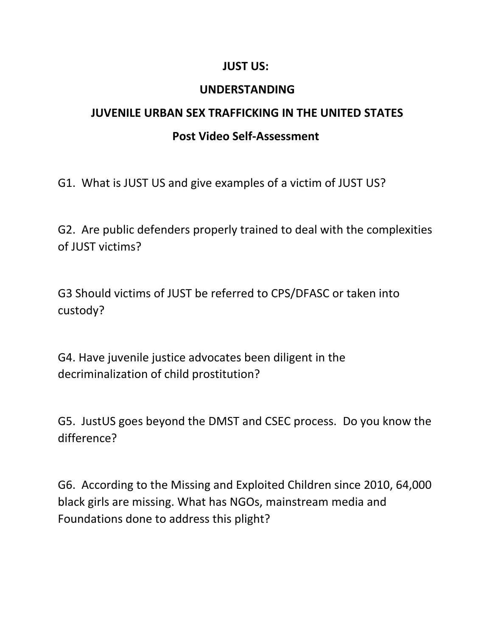## **JUST US:**

## **UNDERSTANDING**

## **JUVENILE URBAN SEX TRAFFICKING IN THE UNITED STATES Post Video Self-Assessment**

G1. What is JUST US and give examples of a victim of JUST US?

G2. Are public defenders properly trained to deal with the complexities of JUST victims?

G3 Should victims of JUST be referred to CPS/DFASC or taken into custody?

G4. Have juvenile justice advocates been diligent in the decriminalization of child prostitution?

G5. JustUS goes beyond the DMST and CSEC process. Do you know the difference?

G6. According to the Missing and Exploited Children since 2010, 64,000 black girls are missing. What has NGOs, mainstream media and Foundations done to address this plight?